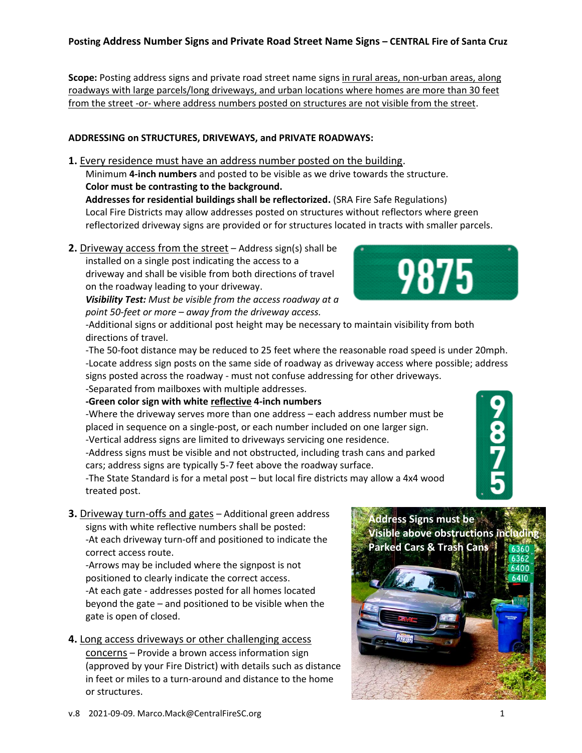# **Posting Address Number Signs and Private Road Street Name Signs – CENTRAL Fire of Santa Cruz**

Scope: Posting address signs and private road street name signs in rural areas, non-urban areas, along roadways with large parcels/long driveways, and urban locations where homes are more than 30 feet from the street -or- where address numbers posted on structures are not visible from the street.

## **ADDRESSING on STRUCTURES, DRIVEWAYS, and PRIVATE ROADWAYS:**

**1.** Every residence must have an address number posted on the building.

Minimum **4-inch numbers** and posted to be visible as we drive towards the structure. **Color must be contrasting to the background.**

**Addresses for residential buildings shall be reflectorized.** (SRA Fire Safe Regulations) Local Fire Districts may allow addresses posted on structures without reflectors where green reflectorized driveway signs are provided or for structures located in tracts with smaller parcels.

**2.** Driveway access from the street – Address sign(s) shall be installed on a single post indicating the access to a driveway and shall be visible from both directions of travel on the roadway leading to your driveway.

*Visibility Test: Must be visible from the access roadway at a point 50-feet or more – away from the driveway access.*



-Additional signs or additional post height may be necessary to maintain visibility from both directions of travel.

-The 50-foot distance may be reduced to 25 feet where the reasonable road speed is under 20mph. -Locate address sign posts on the same side of roadway as driveway access where possible; address signs posted across the roadway - must not confuse addressing for other driveways. -Separated from mailboxes with multiple addresses.

**-Green color sign with white reflective 4-inch numbers**

-Where the driveway serves more than one address – each address number must be placed in sequence on a single-post, or each number included on one larger sign. -Vertical address signs are limited to driveways servicing one residence. -Address signs must be visible and not obstructed, including trash cans and parked cars; address signs are typically 5-7 feet above the roadway surface.

-The State Standard is for a metal post – but local fire districts may allow a 4x4 wood treated post.

**3.** Driveway turn-offs and gates – Additional green address signs with white reflective numbers shall be posted: -At each driveway turn-off and positioned to indicate the correct access route.

-Arrows may be included where the signpost is not positioned to clearly indicate the correct access. -At each gate - addresses posted for all homes located beyond the gate – and positioned to be visible when the gate is open of closed.

**4.** Long access driveways or other challenging access concerns – Provide a brown access information sign (approved by your Fire District) with details such as distance in feet or miles to a turn-around and distance to the home or structures.